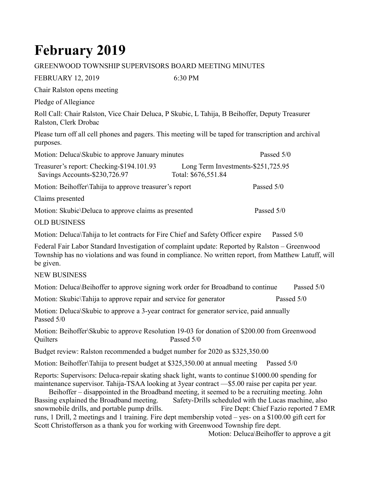## **February 2019**

## GREENWOOD TOWNSHIP SUPERVISORS BOARD MEETING MINUTES

| <b>FEBRUARY 12, 2019</b>                                                                                                                                                                                                                                                                                                                                                                                                                                                                                                                                                                            | 6:30 PM                                                   |                                                                                    |
|-----------------------------------------------------------------------------------------------------------------------------------------------------------------------------------------------------------------------------------------------------------------------------------------------------------------------------------------------------------------------------------------------------------------------------------------------------------------------------------------------------------------------------------------------------------------------------------------------------|-----------------------------------------------------------|------------------------------------------------------------------------------------|
| Chair Ralston opens meeting                                                                                                                                                                                                                                                                                                                                                                                                                                                                                                                                                                         |                                                           |                                                                                    |
| Pledge of Allegiance                                                                                                                                                                                                                                                                                                                                                                                                                                                                                                                                                                                |                                                           |                                                                                    |
| Roll Call: Chair Ralston, Vice Chair Deluca, P Skubic, L Tahija, B Beihoffer, Deputy Treasurer<br>Ralston, Clerk Drobac                                                                                                                                                                                                                                                                                                                                                                                                                                                                             |                                                           |                                                                                    |
| Please turn off all cell phones and pagers. This meeting will be taped for transcription and archival<br>purposes.                                                                                                                                                                                                                                                                                                                                                                                                                                                                                  |                                                           |                                                                                    |
| Motion: Deluca\Skubic to approve January minutes                                                                                                                                                                                                                                                                                                                                                                                                                                                                                                                                                    |                                                           | Passed 5/0                                                                         |
| Treasurer's report: Checking-\$194.101.93<br>Savings Accounts-\$230,726.97                                                                                                                                                                                                                                                                                                                                                                                                                                                                                                                          | Long Term Investments-\$251,725.95<br>Total: \$676,551.84 |                                                                                    |
| Motion: Beihoffer\Tahija to approve treasurer's report                                                                                                                                                                                                                                                                                                                                                                                                                                                                                                                                              |                                                           | Passed 5/0                                                                         |
| Claims presented                                                                                                                                                                                                                                                                                                                                                                                                                                                                                                                                                                                    |                                                           |                                                                                    |
| Motion: Skubic\Deluca to approve claims as presented                                                                                                                                                                                                                                                                                                                                                                                                                                                                                                                                                |                                                           | Passed 5/0                                                                         |
| <b>OLD BUSINESS</b>                                                                                                                                                                                                                                                                                                                                                                                                                                                                                                                                                                                 |                                                           |                                                                                    |
| Motion: Deluca\Tahija to let contracts for Fire Chief and Safety Officer expire                                                                                                                                                                                                                                                                                                                                                                                                                                                                                                                     |                                                           | Passed 5/0                                                                         |
| Federal Fair Labor Standard Investigation of complaint update: Reported by Ralston - Greenwood<br>Township has no violations and was found in compliance. No written report, from Matthew Latuff, will<br>be given.                                                                                                                                                                                                                                                                                                                                                                                 |                                                           |                                                                                    |
| <b>NEW BUSINESS</b>                                                                                                                                                                                                                                                                                                                                                                                                                                                                                                                                                                                 |                                                           |                                                                                    |
| Motion: Deluca\Beihoffer to approve signing work order for Broadband to continue                                                                                                                                                                                                                                                                                                                                                                                                                                                                                                                    |                                                           | Passed 5/0                                                                         |
| Motion: Skubic\Tahija to approve repair and service for generator                                                                                                                                                                                                                                                                                                                                                                                                                                                                                                                                   |                                                           | Passed 5/0                                                                         |
| Motion: Deluca\Skubic to approve a 3-year contract for generator service, paid annually<br>Passed 5/0                                                                                                                                                                                                                                                                                                                                                                                                                                                                                               |                                                           |                                                                                    |
| Motion: Beihoffer\Skubic to approve Resolution 19-03 for donation of \$200.00 from Greenwood<br>Quilters                                                                                                                                                                                                                                                                                                                                                                                                                                                                                            | Passed 5/0                                                |                                                                                    |
| Budget review: Ralston recommended a budget number for 2020 as \$325,350.00                                                                                                                                                                                                                                                                                                                                                                                                                                                                                                                         |                                                           |                                                                                    |
| Motion: Beihoffer\Tahija to present budget at \$325,350.00 at annual meeting                                                                                                                                                                                                                                                                                                                                                                                                                                                                                                                        |                                                           | Passed 5/0                                                                         |
| Reports: Supervisors: Deluca-repair skating shack light, wants to continue \$1000.00 spending for<br>maintenance supervisor. Tahija-TSAA looking at 3year contract -\$5.00 raise per capita per year.<br>Beihoffer – disappointed in the Broadband meeting, it seemed to be a recruiting meeting. John<br>Bassing explained the Broadband meeting.<br>snowmobile drills, and portable pump drills.<br>runs, 1 Drill, 2 meetings and 1 training. Fire dept membership voted – yes- on a \$100.00 gift cert for<br>Scott Christofferson as a thank you for working with Greenwood Township fire dept. | Safety-Drills scheduled with the Lucas machine, also      | Fire Dept: Chief Fazio reported 7 EMR<br>Motion: Deluca\Beihoffer to approve a git |